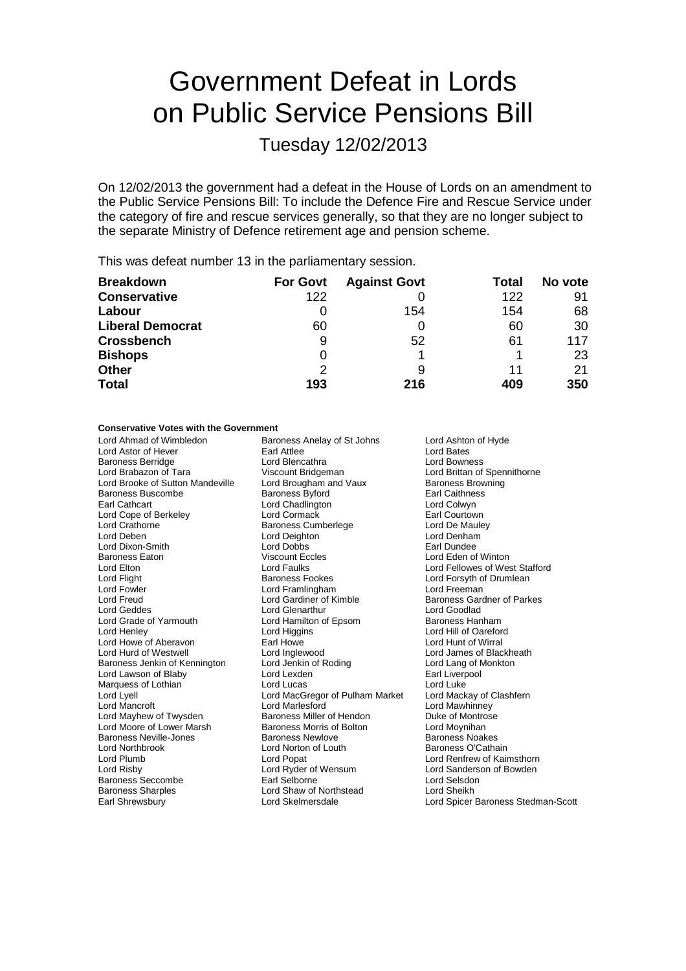# Government Defeat in Lords on Public Service Pensions Bill

Tuesday 12/02/2013

On 12/02/2013 the government had a defeat in the House of Lords on an amendment to the Public Service Pensions Bill: To include the Defence Fire and Rescue Service under the category of fire and rescue services generally, so that they are no longer subject to the separate Ministry of Defence retirement age and pension scheme.

This was defeat number 13 in the parliamentary session.

| <b>Breakdown</b>        | <b>For Govt</b> | <b>Against Govt</b> | Total | No vote |
|-------------------------|-----------------|---------------------|-------|---------|
| <b>Conservative</b>     | 122             |                     | 122   | 91      |
| Labour                  |                 | 154                 | 154   | 68      |
| <b>Liberal Democrat</b> | 60              |                     | 60    | 30      |
| <b>Crossbench</b>       | 9               | 52                  | 61    | 117     |
| <b>Bishops</b>          | 0               |                     |       | 23      |
| <b>Other</b>            | $\mathcal{P}$   | 9                   | 11    | 21      |
| <b>Total</b>            | 193             | 216                 | 409   | 350     |

## **Conservative Votes with the Government**

Lord Ahmad of Wimbledon **Baroness Anelay of St Johns** Lord Ashton of Hyde<br>
Lord Astor of Hever **Lord Bates** Earl Attlee **Lord Bates** Lord Astor of Hever **Earl Attlee** Lord Bates Lord Bates<br>
Baroness Berridge **Early Lord Bencathra** Lord Bowness Baroness Berridge **Lord Blencathra**<br>
Lord Brabazon of Tara 
Lord Bridgeman Lord Brooke of Sutton Mandeville Lord Brougham and Vaux Baroness Brow<br>Baroness Buscombe Baroness Bvford Baroness Bvford Earl Caithness Baroness Buscombe Baroness Byford Earl Caithness Lord Cope of Berkeley **Lord Cormack Community** Carl Courtown<br>
Lord Crathorne **Carl Community** Baroness Cumberlege **Earl Courtown**<br>
Lord Crathorne **Earl Community** Lord Crathorne **Baroness Cumberlege** Lord De Mauley<br>
Lord Deben **Lord De Mauley Lord De Mauley Lord De Mauley Lord De Mauley Lord De Mauley Lord De Mauley Lord De Mauley Lord De Mauley Lord De Mauley Lord De Mauley Lord De** Lord Dixon-Smith Lord Dobbs<br>
Baroness Eaton Miscount Eccles Lord Elton Lord Faulks Lord Fellowes of West Stafford<br>
Lord Fight Cord Fellowes Contess Fookes<br>
Lord Forsyth of Drumlean Lord Flight **Baroness Fookes** Lord Forsyth of Drumlean<br>
Lord Formula Lord Forsyth Cord Framlingham<br>
Lord Formula Lord Freeman Lord Fowler **Lord Framlingham**<br>
Lord Freud **Lord Freud**Lord Gardiner of Kimble Lord Geddes **Lord Glenarthur** Lord Genarthur Lord Goodlad<br>
Lord Grade of Yarmouth Lord Hamilton of Epsom Baroness Hanham Lord Grade of Yarmouth Lord Hamilton of Epsom<br>
Lord Henley Lord Higgins Lord Howe of Aberavon Earl Howe Lord Hunt of Wirral Lord Hurd of Westwell **Lord Lord Inglewood** Lord James of Blackheath<br>
Baroness Jenkin of Kennington Lord Jenkin of Roding Lord Lang of Monkton Baroness Jenkin of Kennington Lord Jenkin of Roding The Lord Lang of Month Lord Lang of Month Cord Lang of Mon<br>
Lord Lawson of Blaby Lord Lexden Lord Lexden Lord Lang of Month Cord Liverpool Lord Lawson of Blaby Marquess of Lothian **Lord Lucas** Lord Lucas **Lord Luke** Lord Lyell Lord MacGregor of Pulham Market Lord Mackay of Clashfern Lord Mancroft Lord Marlesford Lord Mawhinney Lord Moore of Lower Marsh **Baroness Morris of Bolton** Lord Moynihan<br>Baroness Neville-Jones **Baroness Newlove** Baroness Noakes Baroness Neville-Jones **Baroness Newlove** Baroness Newlove Baroness Noakes<br>
Baroness O'Cathain<br>
Baroness O'Cathain Lord Northbrook Lord Norton of Louth<br>
Lord Plumb **Baroness Communist Communist Communist Communist Communist Communist Communist Communist Communist Communist Communist Communist Communist Communist Communist Communist Com** Lord Risby Lord Ryder of Wensum Lord Sanderson of Bowden Baroness Seccombe Earl Selborne Carloss Seccombe<br>Baroness Sharples Correspondence Lord Shaw of Northstead Correspondence Lord Sheikh

Viscount Bridgeman **Lord Brittan of Spennithorne**<br>
Lord Brougham and Vaux Baroness Browning Lord Chadlington **Lord Colwyn**<br>
Lord Cormack **Lord Counting Lord Counting** Lord Deighton **Lord Denham**<br>
Lord Dobbs<br>
Earl Dundee Viscount Eccles **Eaton Viscount Eccles** Lord Eden of Winton Lord Faulks<br>
Lord Fellowes of Wes Baroness Miller of Hendon Lord Shaw of Northstead Earl Shrewsbury Lord Skelmersdale Lord Spicer Baroness Stedman-Scott

Baroness Gardner of Parkes Lord Hill of Oareford Lord Renfrew of Kaimsthorn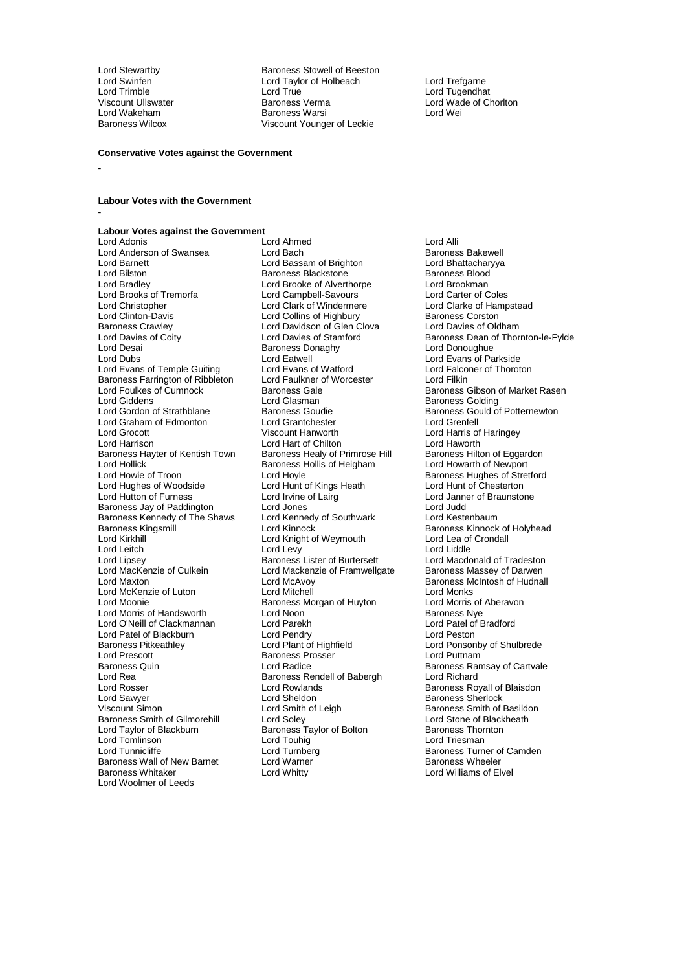Lord Wakeham **Baroness Warsi Lord Wakeham**<br>Baroness Wilcox **Baroness Wiscount Younge** 

Lord Stewartby **Baroness Stowell of Beeston**<br>
Lord Swinfen **Baroness Stowell of Beeston**<br>
Lord Taylor of Holbeach Lord Swinfen Lord Taylor of Holbeach Lord Trefgarne Lord Trimble Lord True Lord Tugendhat Viscount Ullswater Baroness Verma Lord Wade of Chorlton<br>
Lord Wakeham Baroness Warsi Lord Wei Viscount Younger of Leckie

#### **Conservative Votes against the Government**

**-**

**-**

**Labour Votes with the Government**

# **Labour Votes against the Government**

Lord Anderson of Swansea Lord Bach Lord Baroness Bakewell<br>
Lord Barnett Lord Bassam of Brighton Lord Bhattacharyya Lord Barnett **Lord Bassam of Brighton** Lord Bhattachar<br>
Lord Bilston **Lord Barness Blackstone Constanting Barness Blood** Lord Bilston **Baroness Backstone Baroness Blood Baroness Blood Baroness Blood Baroness Blood Baroness Blood Brookman**<br>
Lord Bradley **Baroness Blood Brooke of Alverthorpe** Lord Brookman Lord Brooks of Tremorfa<br>
Lord Christopher Lord Clark of Windermere Lord Clarke of Hampstead Lord Christopher Lord Clark of Windermere Lord Clarke of Hampster Clark of Windermere Lord Clarke of Hampster<br>Lord Clinton-Davis Lord Collins of Highbury Raroness Corston Lord Clinton-Davis **Lord Collins of Highbury** Baroness Corston<br>
Baroness Crawley **Baroness Crawley** Lord Davidson of Glen Clova Lord Davies of Oldham Baroness Crawley **Calculation** Lord Davidson of Glen Clova<br>
Lord Davies of Coity **Lord Davies of Stamford** Lord Davies of Coity **Lord Davies of Stamford** Baroness Dean of Thornton-le-Fylde<br>
Lord Desai **Baroness Donaghy** Baroness Donaghy Lord Donoughue Lord Desai Christian Baroness Donaghy Cord Donoughue<br>Cord Dubs Cord Eat Lord Eat Lord Exans of Pa Lord Evans of Temple Guiting Lord Evans of Watford Lord Ealconers Cord Falconer Cord Fillen<br>Baroness Farrington of Ribbleton Lord Faulkner of Worcester Lord Filkin Baroness Farrington of Ribbleton Lord Faulkner c<br>Lord Foulkes of Cumnock Baroness Gale Lord Foulkes of Cumnock **Baroness Gale Communist Communist Communist** Baroness Gibson of Market Rasen<br>Lord Giddens Lord Gibson Lord Glasman **Baroness Golding** Lord Giddens **Lord Glasman**<br>
Lord Gordon of Strathblane Baroness Goudie **Baroness Gould of Baroness Gould of** Lord Graham of Edmonton Lord Grantchester<br>
Lord Grocott Viscount Hanworth Lord Grocott Viscount Hanworth Lord Harris of Haringey Lord Harrison Lord Hart of Chilton Lord Hart of Chilton Lord Haworth<br>Baroness Havter of Kentish Town Baroness Healy of Primrose Hill Baroness Hilton of Eggardon Baroness Hayter of Kentish Town Baroness Healy of Primrose Hill Baroness Hilton of Eggardon Lord Hollick Baroness Hollis of Heigham Lord Howarth of Newport Lord Howie of Troon Lord Hoyle Cord Hoyle Baroness Hughes of Stretford<br>
Lord Hughes of Woodside Lord Hunt of Kings Heath Lord Hunt of Chesterton Lord Hughes of Woodside Lord Hunt of Kings<br>
Lord Hutton of Furness
Lord Irvine of Lairg Baroness Jay of Paddington Lord Jones Lord Judd Baroness Kennedy of The Shaws Lord Kennedy<br>Baroness Kingsmill Lord Kinnock Baroness Kingsmill **Exercise Search Conditional Cord Kinnock** Baroness Kinnock of Holyhead<br>
Lord Kirkhill **Lord Kinnock** Cord Knight of Weymouth **Cord Lea** of Crondall Lord Kirkhill Lord Kirght of Weymouth Lord Lea of Lord Lea of Lord Lea of Lord Lea of Lord Liddle Lord Leitch Lord Levy<br>
Lord Lipsey **Lord Levy** Baroness Lister of Burtersett Lord Lipsey **Baroness Lister of Burtersett** Lord Macdonald of Tradeston<br>
Lord MacKenzie of Culkein Lord Mackenzie of Framwellgate Baroness Massey of Darwen Lord MacKenzie of Culkein Lord Mackenzie of Framwellgate<br>Lord Maxton Lord McAvov Lord McKenzie of Luton **Lord Mitchell** Lord Mitchell Lord Monks<br>
Lord Moonie **Concess Lord Montage Concess Morgan** of Huyton Lord Morris of Aberavon Lord Morris of Handsworth Lord Noon Corresponding the Corresponding Corresponding Corresponding Corresponding Corresponding Lord Patel of Bradford Lord Patel of Bradford Lord O'Neill of Clackmannan Lord Parekh<br>
Lord Patel of Blackburn Lord Pendry Lord Patel of Blackburn Lord Pendry Lord Peston Baroness Pitkeathley **Lord Plant of Highfield** Hight Lord Ponsonby of Shulbrede<br>
Lord Prescott **Lord Puttnam**<br>
Lord Puttnam Lord Prescott **Contains Container Baroness Prosser** Baroness Prosser<br>
Baroness Quin **Container Lord Radice** Baroness Quin **Baroness Communist Controller Controller** Baroness Ramsay of Cartvale Lord Richard<br>
Lord Rea **Communist Carty Controller** Baroness Rendell of Babergh **Controller Lord Richard** Lord Rea Baroness Rendell of Babergh Lord Rosser<br>
Lord Rosser Lord Rowlands Lord Rosser **Lord Rowlands** Corporation Corporation Corporation Corporation Corporation Corporation Corporation<br>Lord Saroness Sherlock Corporation Corporation Corporation Corporation Corporation Corporation Corporation Cor Lord Sawyer **Lord Sheldon**<br>
Lord Samily Corporation Lord Smith of Leigh<br>
Uscount Simon Corporation Lord Smith of Leigh Baroness Smith of E Viscount Simon Lord Smith of Leigh Baroness Smith of Basildon<br>
Baroness Smith of Gilmorehill Lord Soley Corp Lord Stone of Blackheath Baroness Smith of Gilmorehill Lord Soley Lord Stone of Blackheath Lord Taylor of Blackburn **Baroness Taylor of Bolton** Baroness Thornton Lord Tomlinson Lord Touhig Lord Triesman Baroness Wall of New Barnet<br>Baroness Whitaker Lord Woolmer of Leeds

Lord Ahmed **Lord Alli**<br>
Lord Bach **Communis Lord Alli**<br>
Baroness Bakewell Lord Brooke of Alverthorpe Lord Brookman<br>
Lord Campbell-Savours
Lord Carter of Coles Lord Eatwell Lord Evans of Parkside<br>
Lord Evans of Watford Lord Falconer of Thoroton Lord Irvine of Lairg<br>
Lord Jones<br>
Lord Judd Lord McAvoy **Baroness McIntosh of Hudnall**<br>
Lord Mitchell **Lord Monks** Baroness Morgan of Huyton Lord Morris of Lord Noon<br>Lord Noon Corris Aberavon Baroness Nye Lord Turnberg Turner Baroness Turner of Camden<br>
Lord Warner Turnberg Baroness Wheeler Lord Whitty **Lord Williams of Elvel** 

Baroness Goudie **Baroness Gould of Potternewton**<br> **Lord Grantchester Baroness Gould of Potternewton**